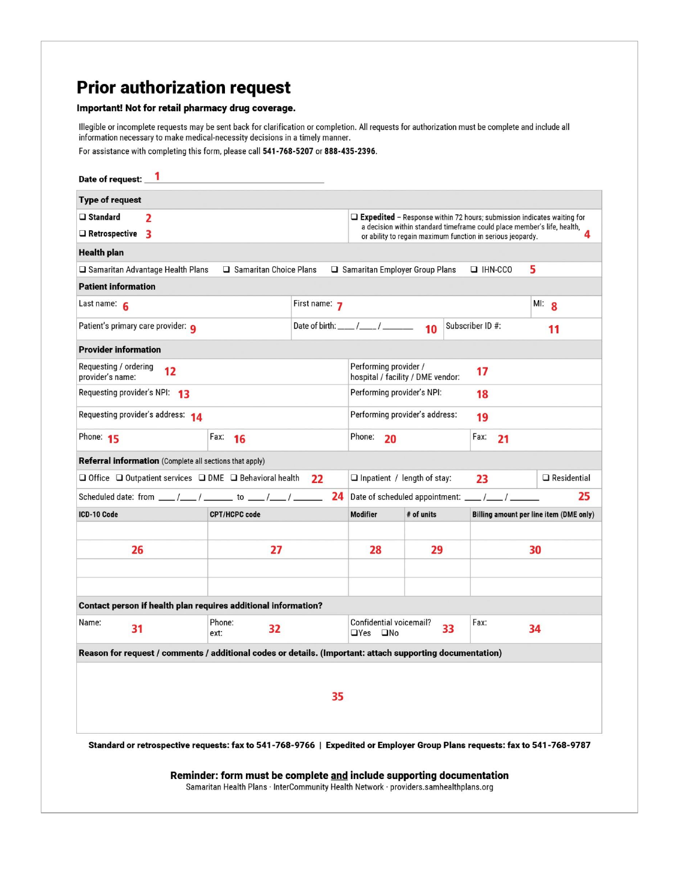## **Prior authorization request**

## Important! Not for retail pharmacy drug coverage.

Illegible or incomplete requests may be sent back for clarification or completion. All requests for authorization must be complete and include all information necessary to make medical-necessity decisions in a timely manner.

For assistance with completing this form, please call 541-768-5207 or 888-435-2396.

| Date of request: 1                                                                                                                                  |                                                         |                                                                                                           |               |                                                                                                                                                          |            |                |                                                                                                                           |  |
|-----------------------------------------------------------------------------------------------------------------------------------------------------|---------------------------------------------------------|-----------------------------------------------------------------------------------------------------------|---------------|----------------------------------------------------------------------------------------------------------------------------------------------------------|------------|----------------|---------------------------------------------------------------------------------------------------------------------------|--|
| <b>Type of request</b>                                                                                                                              |                                                         |                                                                                                           |               |                                                                                                                                                          |            |                |                                                                                                                           |  |
| $\Box$ Standard                                                                                                                                     | $\overline{2}$                                          |                                                                                                           |               | $\Box$ Expedited – Response within 72 hours; submission indicates waiting for<br>a decision within standard timeframe could place member's life, health, |            |                |                                                                                                                           |  |
| $\Box$ Retrospective 3                                                                                                                              |                                                         |                                                                                                           |               | 4<br>or ability to regain maximum function in serious jeopardy.                                                                                          |            |                |                                                                                                                           |  |
| <b>Health plan</b>                                                                                                                                  |                                                         |                                                                                                           |               |                                                                                                                                                          |            |                |                                                                                                                           |  |
|                                                                                                                                                     | □ Samaritan Advantage Health Plans                      | □ Samaritan Choice Plans                                                                                  |               | $\Box$ Samaritan Employer Group Plans                                                                                                                    |            | $\Box$ IHN-CCO | 5                                                                                                                         |  |
| <b>Patient information</b>                                                                                                                          |                                                         |                                                                                                           |               |                                                                                                                                                          |            |                |                                                                                                                           |  |
| Last name: $6$                                                                                                                                      |                                                         |                                                                                                           | First name: 7 |                                                                                                                                                          | MI: 8      |                |                                                                                                                           |  |
| Patient's primary care provider: <b>Q</b>                                                                                                           |                                                         |                                                                                                           |               | Subscriber ID #:                                                                                                                                         |            |                | 11                                                                                                                        |  |
| <b>Provider information</b>                                                                                                                         |                                                         |                                                                                                           |               |                                                                                                                                                          |            |                |                                                                                                                           |  |
| Requesting / ordering<br>12<br>provider's name:                                                                                                     |                                                         |                                                                                                           |               | Performing provider /<br>17<br>hospital / facility / DME vendor:                                                                                         |            |                |                                                                                                                           |  |
| Requesting provider's NPI: 13                                                                                                                       |                                                         |                                                                                                           |               | Performing provider's NPI:<br>18                                                                                                                         |            |                |                                                                                                                           |  |
| Requesting provider's address: 14                                                                                                                   |                                                         |                                                                                                           |               | Performing provider's address:<br>19                                                                                                                     |            |                |                                                                                                                           |  |
| Phone: 15                                                                                                                                           |                                                         | Fax: 16                                                                                                   |               | Phone:<br>20                                                                                                                                             |            | Fax:           | 21                                                                                                                        |  |
|                                                                                                                                                     | Referral information (Complete all sections that apply) |                                                                                                           |               |                                                                                                                                                          |            |                |                                                                                                                           |  |
| $\Box$ Office $\Box$ Outpatient services $\Box$ DME $\Box$ Behavioral health<br>22                                                                  |                                                         |                                                                                                           |               | $\Box$ Residential<br>$\Box$ Inpatient / length of stay:<br>23                                                                                           |            |                |                                                                                                                           |  |
| Scheduled date: from $\underline{\qquad}/\underline{\qquad}/\underline{\qquad}$ to $\underline{\qquad}/\underline{\qquad}/\underline{\qquad}$<br>24 |                                                         |                                                                                                           |               | 25                                                                                                                                                       |            |                |                                                                                                                           |  |
| ICD-10 Code                                                                                                                                         |                                                         | <b>CPT/HCPC code</b>                                                                                      |               | <b>Modifier</b>                                                                                                                                          | # of units |                | Billing amount per line item (DME only)                                                                                   |  |
|                                                                                                                                                     |                                                         |                                                                                                           |               |                                                                                                                                                          |            |                |                                                                                                                           |  |
| 26                                                                                                                                                  |                                                         | 27                                                                                                        |               | 28                                                                                                                                                       | 29         |                | 30                                                                                                                        |  |
|                                                                                                                                                     |                                                         |                                                                                                           |               |                                                                                                                                                          |            |                |                                                                                                                           |  |
|                                                                                                                                                     |                                                         |                                                                                                           |               |                                                                                                                                                          |            |                |                                                                                                                           |  |
|                                                                                                                                                     |                                                         | Contact person if health plan requires additional information?                                            |               |                                                                                                                                                          |            |                |                                                                                                                           |  |
| Name:                                                                                                                                               | 31                                                      | Phone:<br>32<br>ext:                                                                                      |               | Confidential voicemail?<br>33<br>□Yes □No                                                                                                                |            | Fax:           | 34                                                                                                                        |  |
|                                                                                                                                                     |                                                         | Reason for request / comments / additional codes or details. (Important: attach supporting documentation) |               |                                                                                                                                                          |            |                |                                                                                                                           |  |
|                                                                                                                                                     |                                                         |                                                                                                           |               |                                                                                                                                                          |            |                |                                                                                                                           |  |
|                                                                                                                                                     |                                                         |                                                                                                           | 35            |                                                                                                                                                          |            |                |                                                                                                                           |  |
|                                                                                                                                                     |                                                         |                                                                                                           |               |                                                                                                                                                          |            |                |                                                                                                                           |  |
|                                                                                                                                                     |                                                         |                                                                                                           |               |                                                                                                                                                          |            |                |                                                                                                                           |  |
|                                                                                                                                                     |                                                         |                                                                                                           |               |                                                                                                                                                          |            |                | Standard or retrospective requests: fax to 541-768-9766   Expedited or Employer Group Plans requests: fax to 541-768-9787 |  |
|                                                                                                                                                     |                                                         |                                                                                                           |               |                                                                                                                                                          |            |                |                                                                                                                           |  |

Reminder: form must be complete and include supporting documentation Samaritan Health Plans · InterCommunity Health Network · providers.samhealthplans.org